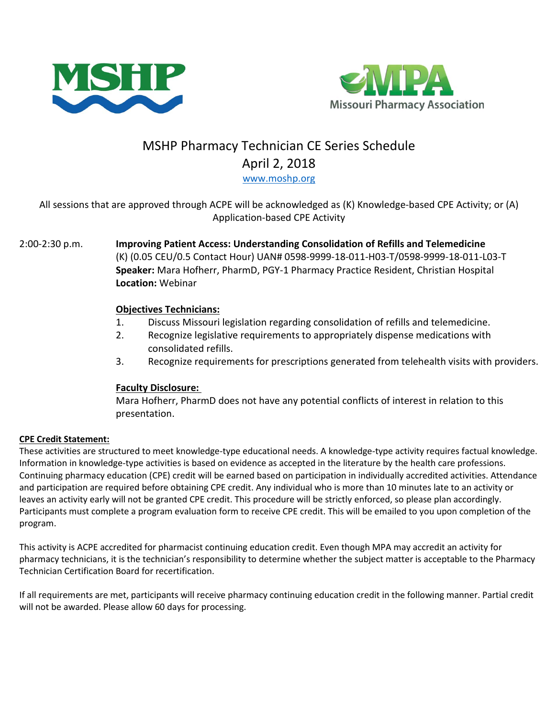



# MSHP Pharmacy Technician CE Series Schedule April 2, 2018 [www.moshp.org](http://www.moshp.org/)

## All sessions that are approved through ACPE will be acknowledged as (K) Knowledge-based CPE Activity; or (A) Application-based CPE Activity

### 2:00-2:30 p.m. **Improving Patient Access: Understanding Consolidation of Refills and Telemedicine** (K) (0.05 CEU/0.5 Contact Hour) UAN# 0598-9999-18-011-H03-T/0598-9999-18-011-L03-T **Speaker:** Mara Hofherr, PharmD, PGY-1 Pharmacy Practice Resident, Christian Hospital **Location:** Webinar

### **Objectives Technicians:**

- 1. Discuss Missouri legislation regarding consolidation of refills and telemedicine.
- 2. Recognize legislative requirements to appropriately dispense medications with consolidated refills.
- 3. Recognize requirements for prescriptions generated from telehealth visits with providers.

### **Faculty Disclosure:**

Mara Hofherr, PharmD does not have any potential conflicts of interest in relation to this presentation.

### **CPE Credit Statement:**

These activities are structured to meet knowledge-type educational needs. A knowledge-type activity requires factual knowledge. Information in knowledge-type activities is based on evidence as accepted in the literature by the health care professions. Continuing pharmacy education (CPE) credit will be earned based on participation in individually accredited activities. Attendance and participation are required before obtaining CPE credit. Any individual who is more than 10 minutes late to an activity or leaves an activity early will not be granted CPE credit. This procedure will be strictly enforced, so please plan accordingly. Participants must complete a program evaluation form to receive CPE credit. This will be emailed to you upon completion of the program.

This activity is ACPE accredited for pharmacist continuing education credit. Even though MPA may accredit an activity for pharmacy technicians, it is the technician's responsibility to determine whether the subject matter is acceptable to the Pharmacy Technician Certification Board for recertification.

If all requirements are met, participants will receive pharmacy continuing education credit in the following manner. Partial credit will not be awarded. Please allow 60 days for processing.